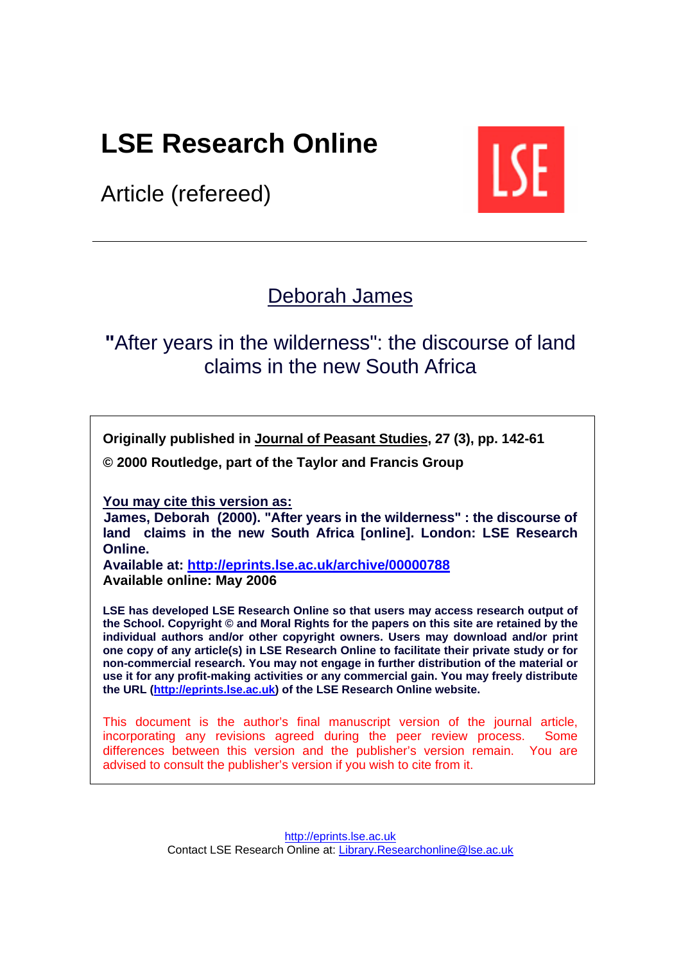# **LSE Research Online**

Article (refereed)



# [Deborah James](http://www.lse.ac.uk/people/d.a.james@lse.ac.uk/experts.htm)

# **"**After years in the wilderness": the discourse of land claims in the new South Africa

**Originally published i[n Journal of Peasant Studies, 2](http://www.tandf.co.uk/journals/titles/03066150.asp)7 (3), pp. 142-61** 

**© 2000 Routledge, part of the Taylor and Francis Group** 

**You may cite this version as:** 

**James, Deborah (2000). "After years in the wilderness" : the discourse of land claims in the new South Africa [online]. London: LSE Research Online.** 

**Available at: <http://eprints.lse.ac.uk/archive/00000788> Available online: May 2006**

**LSE has developed LSE Research Online so that users may access research output of the School. Copyright © and Moral Rights for the papers on this site are retained by the individual authors and/or other copyright owners. Users may download and/or print one copy of any article(s) in LSE Research Online to facilitate their private study or for non-commercial research. You may not engage in further distribution of the material or use it for any profit-making activities or any commercial gain. You may freely distribute the URL [\(http://eprints.lse.ac.uk\)](http://eprints.lse.ac.uk/) of the LSE Research Online website.** 

This document is the author's final manuscript version of the journal article, incorporating any revisions agreed during the peer review process. Some differences between this version and the publisher's version remain. You are advised to consult the publisher's version if you wish to cite from it.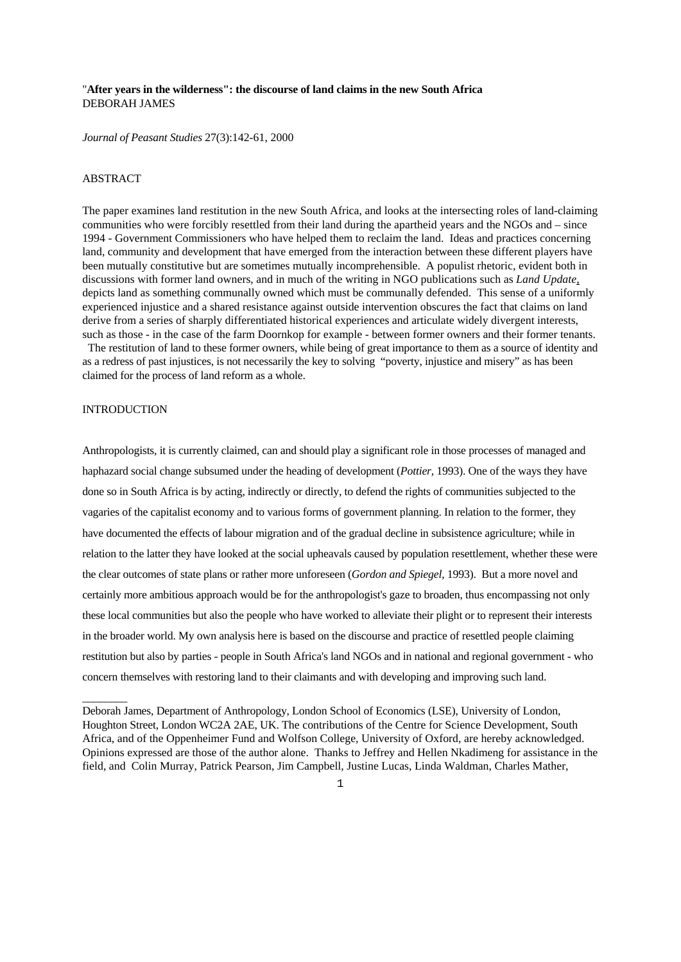# "**After years in the wilderness": the discourse of land claims in the new South Africa**  DEBORAH JAMES

*Journal of Peasant Studies* 27(3):142-61, 2000

### ABSTRACT

The paper examines land restitution in the new South Africa, and looks at the intersecting roles of land-claiming communities who were forcibly resettled from their land during the apartheid years and the NGOs and – since 1994 - Government Commissioners who have helped them to reclaim the land. Ideas and practices concerning land, community and development that have emerged from the interaction between these different players have been mutually constitutive but are sometimes mutually incomprehensible. A populist rhetoric, evident both in discussions with former land owners, and in much of the writing in NGO publications such as *Land Update*, depicts land as something communally owned which must be communally defended. This sense of a uniformly experienced injustice and a shared resistance against outside intervention obscures the fact that claims on land derive from a series of sharply differentiated historical experiences and articulate widely divergent interests, such as those - in the case of the farm Doornkop for example - between former owners and their former tenants.

 The restitution of land to these former owners, while being of great importance to them as a source of identity and as a redress of past injustices, is not necessarily the key to solving "poverty, injustice and misery" as has been claimed for the process of land reform as a whole.

#### INTRODUCTION

 $\overline{\phantom{a}}$ 

Anthropologists, it is currently claimed, can and should play a significant role in those processes of managed and haphazard social change subsumed under the heading of development (*Pottier,* 1993). One of the ways they have done so in South Africa is by acting, indirectly or directly, to defend the rights of communities subjected to the vagaries of the capitalist economy and to various forms of government planning. In relation to the former, they have documented the effects of labour migration and of the gradual decline in subsistence agriculture; while in relation to the latter they have looked at the social upheavals caused by population resettlement, whether these were the clear outcomes of state plans or rather more unforeseen (*Gordon and Spiegel*, 1993). But a more novel and certainly more ambitious approach would be for the anthropologist's gaze to broaden, thus encompassing not only these local communities but also the people who have worked to alleviate their plight or to represent their interests in the broader world. My own analysis here is based on the discourse and practice of resettled people claiming restitution but also by parties - people in South Africa's land NGOs and in national and regional government - who concern themselves with restoring land to their claimants and with developing and improving such land.

Deborah James, Department of Anthropology, London School of Economics (LSE), University of London, Houghton Street, London WC2A 2AE, UK. The contributions of the Centre for Science Development, South Africa, and of the Oppenheimer Fund and Wolfson College, University of Oxford, are hereby acknowledged. Opinions expressed are those of the author alone. Thanks to Jeffrey and Hellen Nkadimeng for assistance in the field, and Colin Murray, Patrick Pearson, Jim Campbell, Justine Lucas, Linda Waldman, Charles Mather,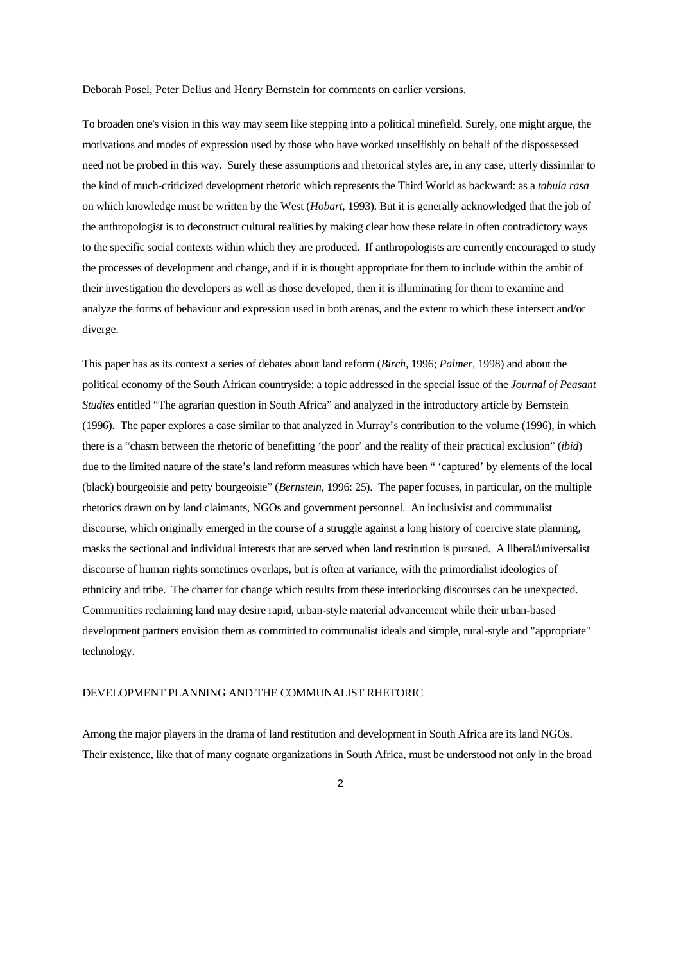Deborah Posel, Peter Delius and Henry Bernstein for comments on earlier versions.

To broaden one's vision in this way may seem like stepping into a political minefield. Surely, one might argue, the motivations and modes of expression used by those who have worked unselfishly on behalf of the dispossessed need not be probed in this way. Surely these assumptions and rhetorical styles are, in any case, utterly dissimilar to the kind of much-criticized development rhetoric which represents the Third World as backward: as a *tabula rasa* on which knowledge must be written by the West (*Hobart*, 1993). But it is generally acknowledged that the job of the anthropologist is to deconstruct cultural realities by making clear how these relate in often contradictory ways to the specific social contexts within which they are produced. If anthropologists are currently encouraged to study the processes of development and change, and if it is thought appropriate for them to include within the ambit of their investigation the developers as well as those developed, then it is illuminating for them to examine and analyze the forms of behaviour and expression used in both arenas, and the extent to which these intersect and/or diverge.

This paper has as its context a series of debates about land reform (*Birch*, 1996; *Palmer*, 1998) and about the political economy of the South African countryside: a topic addressed in the special issue of the *Journal of Peasant Studies* entitled "The agrarian question in South Africa" and analyzed in the introductory article by Bernstein (1996). The paper explores a case similar to that analyzed in Murray's contribution to the volume (1996), in which there is a "chasm between the rhetoric of benefitting 'the poor' and the reality of their practical exclusion" (*ibid*) due to the limited nature of the state's land reform measures which have been " 'captured' by elements of the local (black) bourgeoisie and petty bourgeoisie" (*Bernstein*, 1996: 25). The paper focuses, in particular, on the multiple rhetorics drawn on by land claimants, NGOs and government personnel. An inclusivist and communalist discourse, which originally emerged in the course of a struggle against a long history of coercive state planning, masks the sectional and individual interests that are served when land restitution is pursued. A liberal/universalist discourse of human rights sometimes overlaps, but is often at variance, with the primordialist ideologies of ethnicity and tribe. The charter for change which results from these interlocking discourses can be unexpected. Communities reclaiming land may desire rapid, urban-style material advancement while their urban-based development partners envision them as committed to communalist ideals and simple, rural-style and "appropriate" technology.

### DEVELOPMENT PLANNING AND THE COMMUNALIST RHETORIC

Among the major players in the drama of land restitution and development in South Africa are its land NGOs. Their existence, like that of many cognate organizations in South Africa, must be understood not only in the broad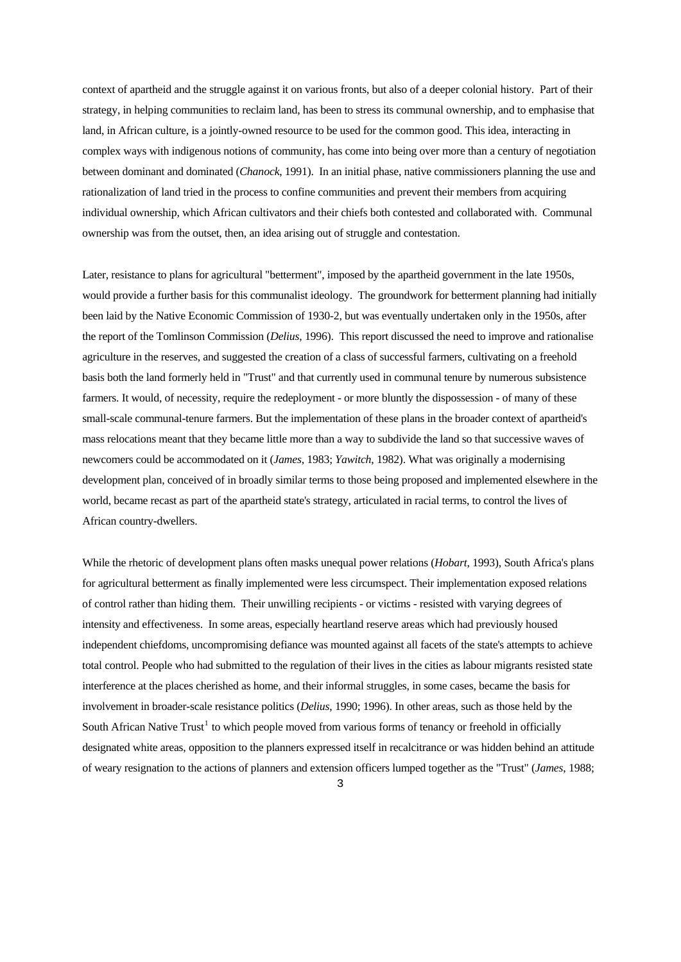context of apartheid and the struggle against it on various fronts, but also of a deeper colonial history. Part of their strategy, in helping communities to reclaim land, has been to stress its communal ownership, and to emphasise that land, in African culture, is a jointly-owned resource to be used for the common good. This idea, interacting in complex ways with indigenous notions of community, has come into being over more than a century of negotiation between dominant and dominated (*Chanock*, 1991). In an initial phase, native commissioners planning the use and rationalization of land tried in the process to confine communities and prevent their members from acquiring individual ownership, which African cultivators and their chiefs both contested and collaborated with. Communal ownership was from the outset, then, an idea arising out of struggle and contestation.

Later, resistance to plans for agricultural "betterment", imposed by the apartheid government in the late 1950s, would provide a further basis for this communalist ideology. The groundwork for betterment planning had initially been laid by the Native Economic Commission of 1930-2, but was eventually undertaken only in the 1950s, after the report of the Tomlinson Commission (*Delius*, 1996). This report discussed the need to improve and rationalise agriculture in the reserves, and suggested the creation of a class of successful farmers, cultivating on a freehold basis both the land formerly held in "Trust" and that currently used in communal tenure by numerous subsistence farmers. It would, of necessity, require the redeployment - or more bluntly the dispossession - of many of these small-scale communal-tenure farmers. But the implementation of these plans in the broader context of apartheid's mass relocations meant that they became little more than a way to subdivide the land so that successive waves of newcomers could be accommodated on it (*James*, 1983; *Yawitch*, 1982). What was originally a modernising development plan, conceived of in broadly similar terms to those being proposed and implemented elsewhere in the world, became recast as part of the apartheid state's strategy, articulated in racial terms, to control the lives of African country-dwellers.

While the rhetoric of development plans often masks unequal power relations (*Hobart*, 1993), South Africa's plans for agricultural betterment as finally implemented were less circumspect. Their implementation exposed relations of control rather than hiding them. Their unwilling recipients - or victims - resisted with varying degrees of intensity and effectiveness. In some areas, especially heartland reserve areas which had previously housed independent chiefdoms, uncompromising defiance was mounted against all facets of the state's attempts to achieve total control. People who had submitted to the regulation of their lives in the cities as labour migrants resisted state interference at the places cherished as home, and their informal struggles, in some cases, became the basis for involvement in broader-scale resistance politics (*Delius*, 1990; 1996). In other areas, such as those held by the South African Native Trust<sup>[1](#page-18-0)</sup> to which people moved from various forms of tenancy or freehold in officially designated white areas, opposition to the planners expressed itself in recalcitrance or was hidden behind an attitude of weary resignation to the actions of planners and extension officers lumped together as the "Trust" (*James*, 1988;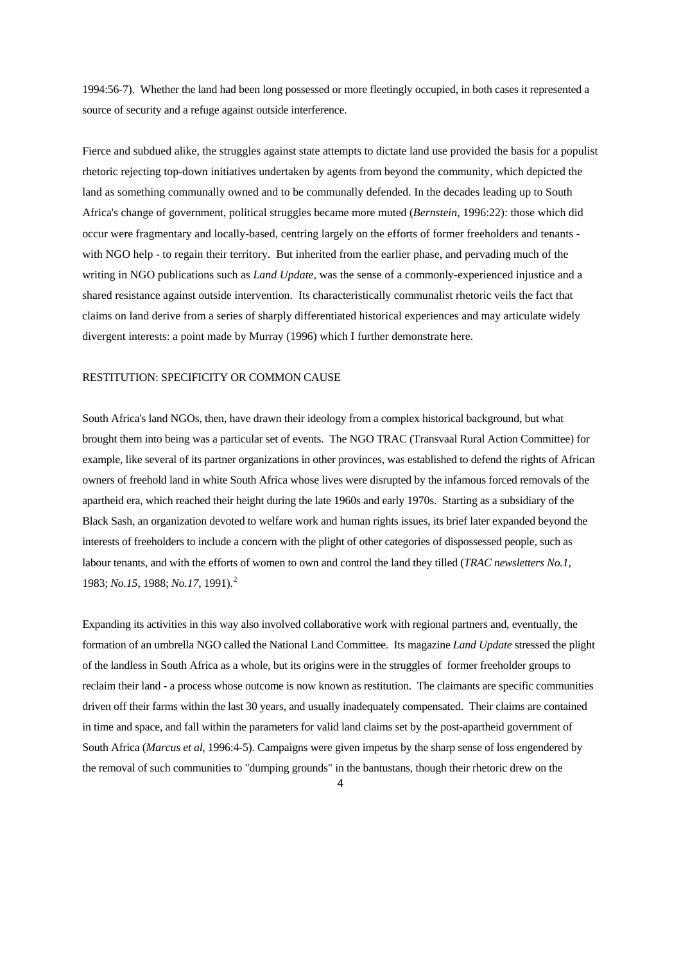1994:56-7). Whether the land had been long possessed or more fleetingly occupied, in both cases it represented a source of security and a refuge against outside interference.

Fierce and subdued alike, the struggles against state attempts to dictate land use provided the basis for a populist rhetoric rejecting top-down initiatives undertaken by agents from beyond the community, which depicted the land as something communally owned and to be communally defended. In the decades leading up to South Africa's change of government, political struggles became more muted (*Bernstein*, 1996:22): those which did occur were fragmentary and locally-based, centring largely on the efforts of former freeholders and tenants with NGO help - to regain their territory. But inherited from the earlier phase, and pervading much of the writing in NGO publications such as *Land Update*, was the sense of a commonly-experienced injustice and a shared resistance against outside intervention. Its characteristically communalist rhetoric veils the fact that claims on land derive from a series of sharply differentiated historical experiences and may articulate widely divergent interests: a point made by Murray (1996) which I further demonstrate here.

#### RESTITUTION: SPECIFICITY OR COMMON CAUSE

South Africa's land NGOs, then, have drawn their ideology from a complex historical background, but what brought them into being was a particular set of events. The NGO TRAC (Transvaal Rural Action Committee) for example, like several of its partner organizations in other provinces, was established to defend the rights of African owners of freehold land in white South Africa whose lives were disrupted by the infamous forced removals of the apartheid era, which reached their height during the late 1960s and early 1970s. Starting as a subsidiary of the Black Sash, an organization devoted to welfare work and human rights issues, its brief later expanded beyond the interests of freeholders to include a concern with the plight of other categories of dispossessed people, such as labour tenants, and with the efforts of women to own and control the land they tilled (*TRAC newsletters No.1*, 1983; *No.15*, 1988; *No.17*, 1991).[2](#page-18-1)

Expanding its activities in this way also involved collaborative work with regional partners and, eventually, the formation of an umbrella NGO called the National Land Committee. Its magazine *Land Update* stressed the plight of the landless in South Africa as a whole, but its origins were in the struggles of former freeholder groups to reclaim their land - a process whose outcome is now known as restitution. The claimants are specific communities driven off their farms within the last 30 years, and usually inadequately compensated. Their claims are contained in time and space, and fall within the parameters for valid land claims set by the post-apartheid government of South Africa (*Marcus et al*, 1996:4-5). Campaigns were given impetus by the sharp sense of loss engendered by the removal of such communities to "dumping grounds" in the bantustans, though their rhetoric drew on the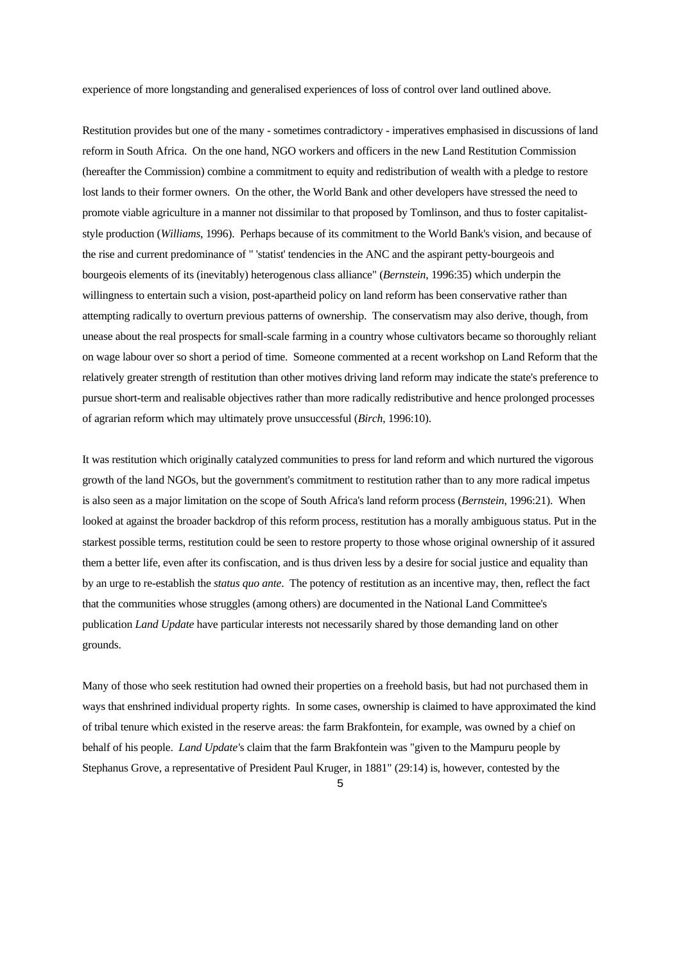experience of more longstanding and generalised experiences of loss of control over land outlined above.

Restitution provides but one of the many - sometimes contradictory - imperatives emphasised in discussions of land reform in South Africa. On the one hand, NGO workers and officers in the new Land Restitution Commission (hereafter the Commission) combine a commitment to equity and redistribution of wealth with a pledge to restore lost lands to their former owners. On the other, the World Bank and other developers have stressed the need to promote viable agriculture in a manner not dissimilar to that proposed by Tomlinson, and thus to foster capitaliststyle production (*Williams*, 1996). Perhaps because of its commitment to the World Bank's vision, and because of the rise and current predominance of " 'statist' tendencies in the ANC and the aspirant petty-bourgeois and bourgeois elements of its (inevitably) heterogenous class alliance" (*Bernstein*, 1996:35) which underpin the willingness to entertain such a vision, post-apartheid policy on land reform has been conservative rather than attempting radically to overturn previous patterns of ownership. The conservatism may also derive, though, from unease about the real prospects for small-scale farming in a country whose cultivators became so thoroughly reliant on wage labour over so short a period of time. Someone commented at a recent workshop on Land Reform that the relatively greater strength of restitution than other motives driving land reform may indicate the state's preference to pursue short-term and realisable objectives rather than more radically redistributive and hence prolonged processes of agrarian reform which may ultimately prove unsuccessful (*Birch*, 1996:10).

It was restitution which originally catalyzed communities to press for land reform and which nurtured the vigorous growth of the land NGOs, but the government's commitment to restitution rather than to any more radical impetus is also seen as a major limitation on the scope of South Africa's land reform process (*Bernstein*, 1996:21). When looked at against the broader backdrop of this reform process, restitution has a morally ambiguous status. Put in the starkest possible terms, restitution could be seen to restore property to those whose original ownership of it assured them a better life, even after its confiscation, and is thus driven less by a desire for social justice and equality than by an urge to re-establish the *status quo ante*. The potency of restitution as an incentive may, then, reflect the fact that the communities whose struggles (among others) are documented in the National Land Committee's publication *Land Update* have particular interests not necessarily shared by those demanding land on other grounds.

Many of those who seek restitution had owned their properties on a freehold basis, but had not purchased them in ways that enshrined individual property rights. In some cases, ownership is claimed to have approximated the kind of tribal tenure which existed in the reserve areas: the farm Brakfontein, for example, was owned by a chief on behalf of his people. *Land Update'*s claim that the farm Brakfontein was "given to the Mampuru people by Stephanus Grove, a representative of President Paul Kruger, in 1881" (29:14) is, however, contested by the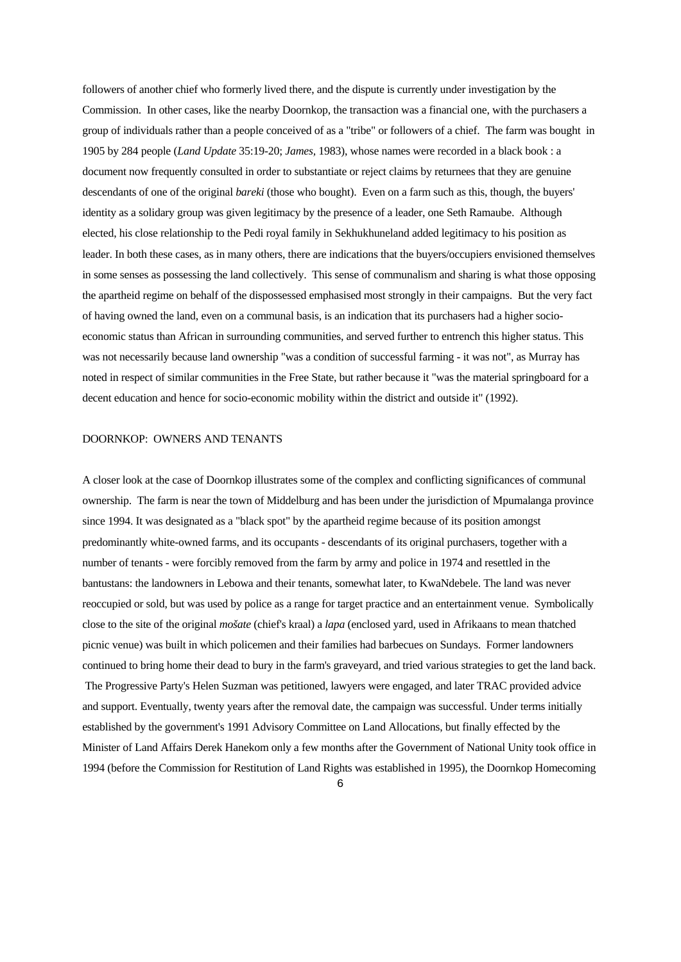followers of another chief who formerly lived there, and the dispute is currently under investigation by the Commission. In other cases, like the nearby Doornkop, the transaction was a financial one, with the purchasers a group of individuals rather than a people conceived of as a "tribe" or followers of a chief. The farm was bought in 1905 by 284 people (*Land Update* 35:19-20; *James,* 1983), whose names were recorded in a black book : a document now frequently consulted in order to substantiate or reject claims by returnees that they are genuine descendants of one of the original *bareki* (those who bought). Even on a farm such as this, though, the buyers' identity as a solidary group was given legitimacy by the presence of a leader, one Seth Ramaube. Although elected, his close relationship to the Pedi royal family in Sekhukhuneland added legitimacy to his position as leader. In both these cases, as in many others, there are indications that the buyers/occupiers envisioned themselves in some senses as possessing the land collectively. This sense of communalism and sharing is what those opposing the apartheid regime on behalf of the dispossessed emphasised most strongly in their campaigns. But the very fact of having owned the land, even on a communal basis, is an indication that its purchasers had a higher socioeconomic status than African in surrounding communities, and served further to entrench this higher status. This was not necessarily because land ownership "was a condition of successful farming - it was not", as Murray has noted in respect of similar communities in the Free State, but rather because it "was the material springboard for a decent education and hence for socio-economic mobility within the district and outside it" (1992).

#### DOORNKOP: OWNERS AND TENANTS

A closer look at the case of Doornkop illustrates some of the complex and conflicting significances of communal ownership. The farm is near the town of Middelburg and has been under the jurisdiction of Mpumalanga province since 1994. It was designated as a "black spot" by the apartheid regime because of its position amongst predominantly white-owned farms, and its occupants - descendants of its original purchasers, together with a number of tenants - were forcibly removed from the farm by army and police in 1974 and resettled in the bantustans: the landowners in Lebowa and their tenants, somewhat later, to KwaNdebele. The land was never reoccupied or sold, but was used by police as a range for target practice and an entertainment venue. Symbolically close to the site of the original *mošate* (chief's kraal) a *lapa* (enclosed yard, used in Afrikaans to mean thatched picnic venue) was built in which policemen and their families had barbecues on Sundays. Former landowners continued to bring home their dead to bury in the farm's graveyard, and tried various strategies to get the land back. The Progressive Party's Helen Suzman was petitioned, lawyers were engaged, and later TRAC provided advice and support. Eventually, twenty years after the removal date, the campaign was successful. Under terms initially established by the government's 1991 Advisory Committee on Land Allocations, but finally effected by the Minister of Land Affairs Derek Hanekom only a few months after the Government of National Unity took office in 1994 (before the Commission for Restitution of Land Rights was established in 1995), the Doornkop Homecoming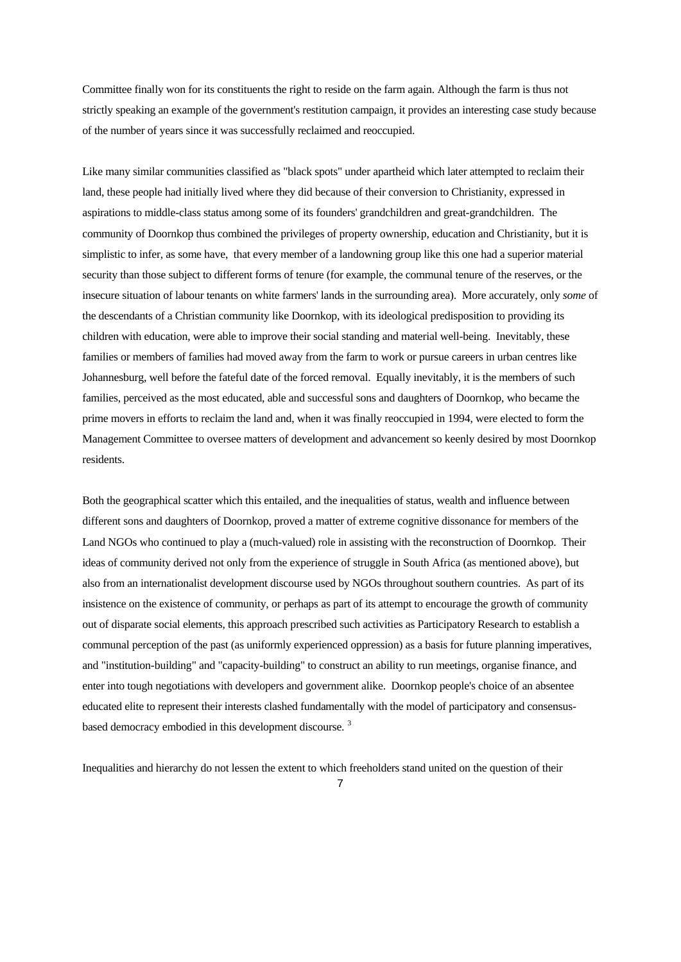Committee finally won for its constituents the right to reside on the farm again. Although the farm is thus not strictly speaking an example of the government's restitution campaign, it provides an interesting case study because of the number of years since it was successfully reclaimed and reoccupied.

Like many similar communities classified as "black spots" under apartheid which later attempted to reclaim their land, these people had initially lived where they did because of their conversion to Christianity, expressed in aspirations to middle-class status among some of its founders' grandchildren and great-grandchildren. The community of Doornkop thus combined the privileges of property ownership, education and Christianity, but it is simplistic to infer, as some have, that every member of a landowning group like this one had a superior material security than those subject to different forms of tenure (for example, the communal tenure of the reserves, or the insecure situation of labour tenants on white farmers' lands in the surrounding area). More accurately, only *some* of the descendants of a Christian community like Doornkop, with its ideological predisposition to providing its children with education, were able to improve their social standing and material well-being. Inevitably, these families or members of families had moved away from the farm to work or pursue careers in urban centres like Johannesburg, well before the fateful date of the forced removal. Equally inevitably, it is the members of such families, perceived as the most educated, able and successful sons and daughters of Doornkop, who became the prime movers in efforts to reclaim the land and, when it was finally reoccupied in 1994, were elected to form the Management Committee to oversee matters of development and advancement so keenly desired by most Doornkop residents.

Both the geographical scatter which this entailed, and the inequalities of status, wealth and influence between different sons and daughters of Doornkop, proved a matter of extreme cognitive dissonance for members of the Land NGOs who continued to play a (much-valued) role in assisting with the reconstruction of Doornkop. Their ideas of community derived not only from the experience of struggle in South Africa (as mentioned above), but also from an internationalist development discourse used by NGOs throughout southern countries. As part of its insistence on the existence of community, or perhaps as part of its attempt to encourage the growth of community out of disparate social elements, this approach prescribed such activities as Participatory Research to establish a communal perception of the past (as uniformly experienced oppression) as a basis for future planning imperatives, and "institution-building" and "capacity-building" to construct an ability to run meetings, organise finance, and enter into tough negotiations with developers and government alike. Doornkop people's choice of an absentee educated elite to represent their interests clashed fundamentally with the model of participatory and consensus-based democracy embodied in this development discourse.<sup>[3](#page-18-1)</sup>

Inequalities and hierarchy do not lessen the extent to which freeholders stand united on the question of their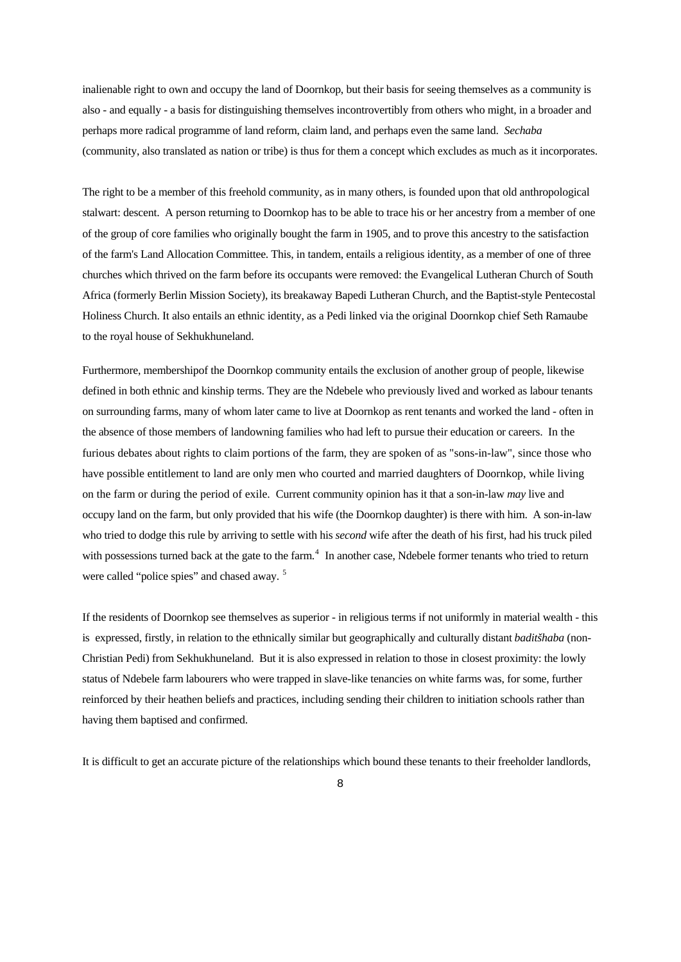inalienable right to own and occupy the land of Doornkop, but their basis for seeing themselves as a community is also - and equally - a basis for distinguishing themselves incontrovertibly from others who might, in a broader and perhaps more radical programme of land reform, claim land, and perhaps even the same land. *Sechaba* (community, also translated as nation or tribe) is thus for them a concept which excludes as much as it incorporates.

The right to be a member of this freehold community, as in many others, is founded upon that old anthropological stalwart: descent. A person returning to Doornkop has to be able to trace his or her ancestry from a member of one of the group of core families who originally bought the farm in 1905, and to prove this ancestry to the satisfaction of the farm's Land Allocation Committee. This, in tandem, entails a religious identity, as a member of one of three churches which thrived on the farm before its occupants were removed: the Evangelical Lutheran Church of South Africa (formerly Berlin Mission Society), its breakaway Bapedi Lutheran Church, and the Baptist-style Pentecostal Holiness Church. It also entails an ethnic identity, as a Pedi linked via the original Doornkop chief Seth Ramaube to the royal house of Sekhukhuneland.

Furthermore, membershipof the Doornkop community entails the exclusion of another group of people, likewise defined in both ethnic and kinship terms. They are the Ndebele who previously lived and worked as labour tenants on surrounding farms, many of whom later came to live at Doornkop as rent tenants and worked the land - often in the absence of those members of landowning families who had left to pursue their education or careers. In the furious debates about rights to claim portions of the farm, they are spoken of as "sons-in-law", since those who have possible entitlement to land are only men who courted and married daughters of Doornkop, while living on the farm or during the period of exile. Current community opinion has it that a son-in-law *may* live and occupy land on the farm, but only provided that his wife (the Doornkop daughter) is there with him. A son-in-law who tried to dodge this rule by arriving to settle with his *second* wife after the death of his first, had his truck piled with possessions turned back at the gate to the farm.<sup>[4](#page-18-1)</sup> In another case, Ndebele former tenants who tried to return were called "police spies" and chased away.<sup>[5](#page-18-1)</sup>

If the residents of Doornkop see themselves as superior - in religious terms if not uniformly in material wealth - this is expressed, firstly, in relation to the ethnically similar but geographically and culturally distant *baditšhaba* (non-Christian Pedi) from Sekhukhuneland. But it is also expressed in relation to those in closest proximity: the lowly status of Ndebele farm labourers who were trapped in slave-like tenancies on white farms was, for some, further reinforced by their heathen beliefs and practices, including sending their children to initiation schools rather than having them baptised and confirmed.

It is difficult to get an accurate picture of the relationships which bound these tenants to their freeholder landlords,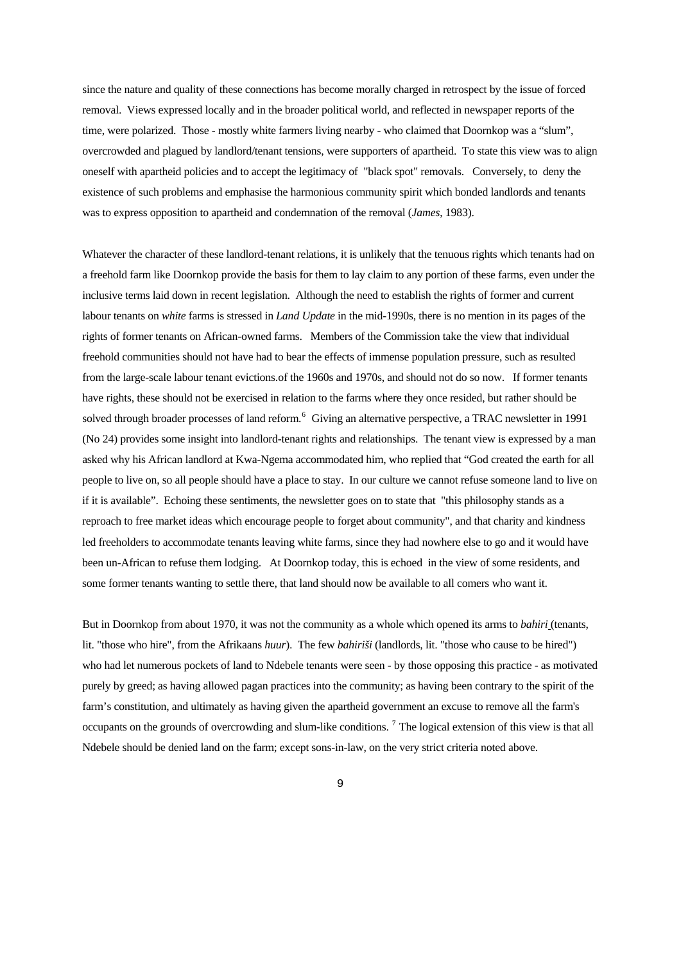since the nature and quality of these connections has become morally charged in retrospect by the issue of forced removal. Views expressed locally and in the broader political world, and reflected in newspaper reports of the time, were polarized. Those - mostly white farmers living nearby - who claimed that Doornkop was a "slum", overcrowded and plagued by landlord/tenant tensions, were supporters of apartheid. To state this view was to align oneself with apartheid policies and to accept the legitimacy of "black spot" removals. Conversely, to deny the existence of such problems and emphasise the harmonious community spirit which bonded landlords and tenants was to express opposition to apartheid and condemnation of the removal (*James*, 1983).

Whatever the character of these landlord-tenant relations, it is unlikely that the tenuous rights which tenants had on a freehold farm like Doornkop provide the basis for them to lay claim to any portion of these farms, even under the inclusive terms laid down in recent legislation. Although the need to establish the rights of former and current labour tenants on *white* farms is stressed in *Land Update* in the mid-1990s, there is no mention in its pages of the rights of former tenants on African-owned farms. Members of the Commission take the view that individual freehold communities should not have had to bear the effects of immense population pressure, such as resulted from the large-scale labour tenant evictions.of the 1960s and 1970s, and should not do so now. If former tenants have rights, these should not be exercised in relation to the farms where they once resided, but rather should be solved through broader processes of land reform.<sup>[6](#page-18-1)</sup> Giving an alternative perspective, a TRAC newsletter in 1991 (No 24) provides some insight into landlord-tenant rights and relationships. The tenant view is expressed by a man asked why his African landlord at Kwa-Ngema accommodated him, who replied that "God created the earth for all people to live on, so all people should have a place to stay. In our culture we cannot refuse someone land to live on if it is available". Echoing these sentiments, the newsletter goes on to state that "this philosophy stands as a reproach to free market ideas which encourage people to forget about community", and that charity and kindness led freeholders to accommodate tenants leaving white farms, since they had nowhere else to go and it would have been un-African to refuse them lodging. At Doornkop today, this is echoed in the view of some residents, and some former tenants wanting to settle there, that land should now be available to all comers who want it.

But in Doornkop from about 1970, it was not the community as a whole which opened its arms to *bahiri* (tenants, lit. "those who hire", from the Afrikaans *huur*). The few *bahiriši* (landlords, lit. "those who cause to be hired") who had let numerous pockets of land to Ndebele tenants were seen - by those opposing this practice - as motivated purely by greed; as having allowed pagan practices into the community; as having been contrary to the spirit of the farm's constitution, and ultimately as having given the apartheid government an excuse to remove all the farm's occupants on the grounds of overcrowding and slum-like conditions.<sup>[7](#page-18-1)</sup> The logical extension of this view is that all Ndebele should be denied land on the farm; except sons-in-law, on the very strict criteria noted above.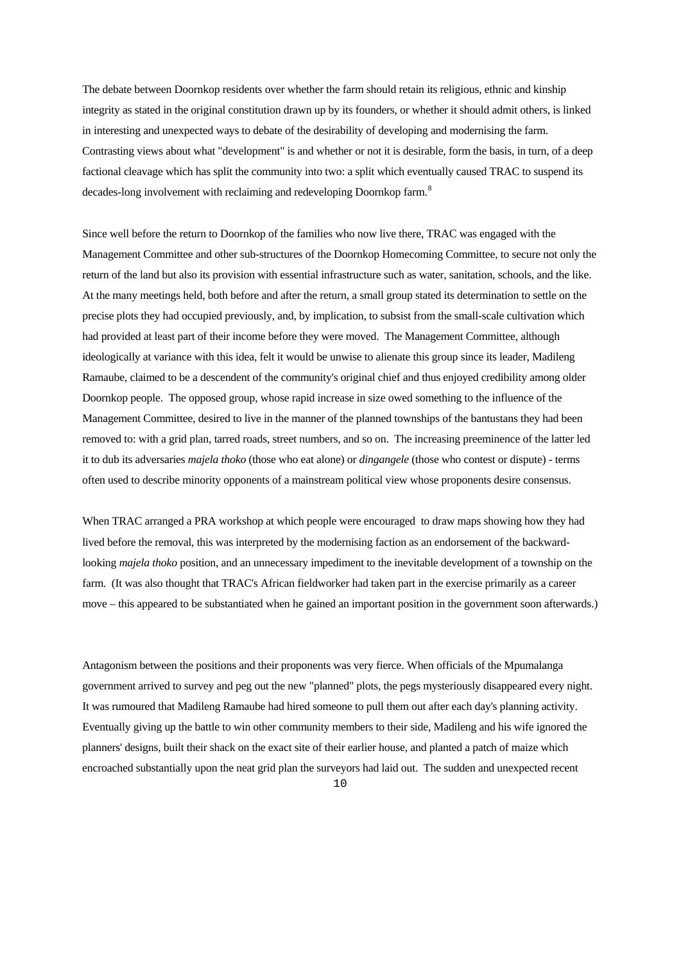The debate between Doornkop residents over whether the farm should retain its religious, ethnic and kinship integrity as stated in the original constitution drawn up by its founders, or whether it should admit others, is linked in interesting and unexpected ways to debate of the desirability of developing and modernising the farm. Contrasting views about what "development" is and whether or not it is desirable, form the basis, in turn, of a deep factional cleavage which has split the community into two: a split which eventually caused TRAC to suspend its decades-long involvement with reclaiming and redeveloping Doornkop farm.<sup>[8](#page-18-1)</sup>

Since well before the return to Doornkop of the families who now live there, TRAC was engaged with the Management Committee and other sub-structures of the Doornkop Homecoming Committee, to secure not only the return of the land but also its provision with essential infrastructure such as water, sanitation, schools, and the like. At the many meetings held, both before and after the return, a small group stated its determination to settle on the precise plots they had occupied previously, and, by implication, to subsist from the small-scale cultivation which had provided at least part of their income before they were moved. The Management Committee, although ideologically at variance with this idea, felt it would be unwise to alienate this group since its leader, Madileng Ramaube, claimed to be a descendent of the community's original chief and thus enjoyed credibility among older Doornkop people. The opposed group, whose rapid increase in size owed something to the influence of the Management Committee, desired to live in the manner of the planned townships of the bantustans they had been removed to: with a grid plan, tarred roads, street numbers, and so on. The increasing preeminence of the latter led it to dub its adversaries *majela thoko* (those who eat alone) or *dingangele* (those who contest or dispute) - terms often used to describe minority opponents of a mainstream political view whose proponents desire consensus.

When TRAC arranged a PRA workshop at which people were encouraged to draw maps showing how they had lived before the removal, this was interpreted by the modernising faction as an endorsement of the backwardlooking *majela thoko* position, and an unnecessary impediment to the inevitable development of a township on the farm. (It was also thought that TRAC's African fieldworker had taken part in the exercise primarily as a career move – this appeared to be substantiated when he gained an important position in the government soon afterwards.)

Antagonism between the positions and their proponents was very fierce. When officials of the Mpumalanga government arrived to survey and peg out the new "planned" plots, the pegs mysteriously disappeared every night. It was rumoured that Madileng Ramaube had hired someone to pull them out after each day's planning activity. Eventually giving up the battle to win other community members to their side, Madileng and his wife ignored the planners' designs, built their shack on the exact site of their earlier house, and planted a patch of maize which encroached substantially upon the neat grid plan the surveyors had laid out. The sudden and unexpected recent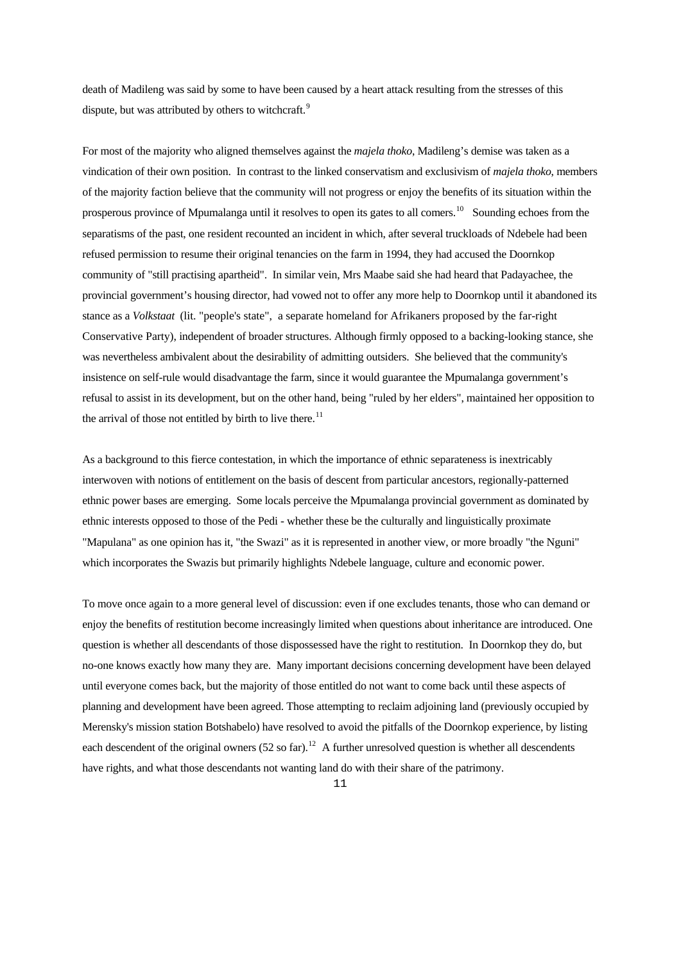death of Madileng was said by some to have been caused by a heart attack resulting from the stresses of this dispute, but was attributed by others to witchcraft.<sup>[9](#page-18-1)</sup>

For most of the majority who aligned themselves against the *majela thoko*, Madileng's demise was taken as a vindication of their own position. In contrast to the linked conservatism and exclusivism of *majela thoko*, members of the majority faction believe that the community will not progress or enjoy the benefits of its situation within the prosperous province of Mpumalanga until it resolves to open its gates to all comers.<sup>[10](#page-18-1)</sup> Sounding echoes from the separatisms of the past, one resident recounted an incident in which, after several truckloads of Ndebele had been refused permission to resume their original tenancies on the farm in 1994, they had accused the Doornkop community of "still practising apartheid". In similar vein, Mrs Maabe said she had heard that Padayachee, the provincial government's housing director, had vowed not to offer any more help to Doornkop until it abandoned its stance as a *Volkstaat* (lit. "people's state", a separate homeland for Afrikaners proposed by the far-right Conservative Party), independent of broader structures. Although firmly opposed to a backing-looking stance, she was nevertheless ambivalent about the desirability of admitting outsiders. She believed that the community's insistence on self-rule would disadvantage the farm, since it would guarantee the Mpumalanga government's refusal to assist in its development, but on the other hand, being "ruled by her elders", maintained her opposition to the arrival of those not entitled by birth to live there.<sup>[11](#page-18-1)</sup>

As a background to this fierce contestation, in which the importance of ethnic separateness is inextricably interwoven with notions of entitlement on the basis of descent from particular ancestors, regionally-patterned ethnic power bases are emerging. Some locals perceive the Mpumalanga provincial government as dominated by ethnic interests opposed to those of the Pedi - whether these be the culturally and linguistically proximate "Mapulana" as one opinion has it, "the Swazi" as it is represented in another view, or more broadly "the Nguni" which incorporates the Swazis but primarily highlights Ndebele language, culture and economic power.

To move once again to a more general level of discussion: even if one excludes tenants, those who can demand or enjoy the benefits of restitution become increasingly limited when questions about inheritance are introduced. One question is whether all descendants of those dispossessed have the right to restitution. In Doornkop they do, but no-one knows exactly how many they are. Many important decisions concerning development have been delayed until everyone comes back, but the majority of those entitled do not want to come back until these aspects of planning and development have been agreed. Those attempting to reclaim adjoining land (previously occupied by Merensky's mission station Botshabelo) have resolved to avoid the pitfalls of the Doornkop experience, by listing each descendent of the original owners (52 so far).<sup>[12](#page-18-1)</sup> A further unresolved question is whether all descendents have rights, and what those descendants not wanting land do with their share of the patrimony.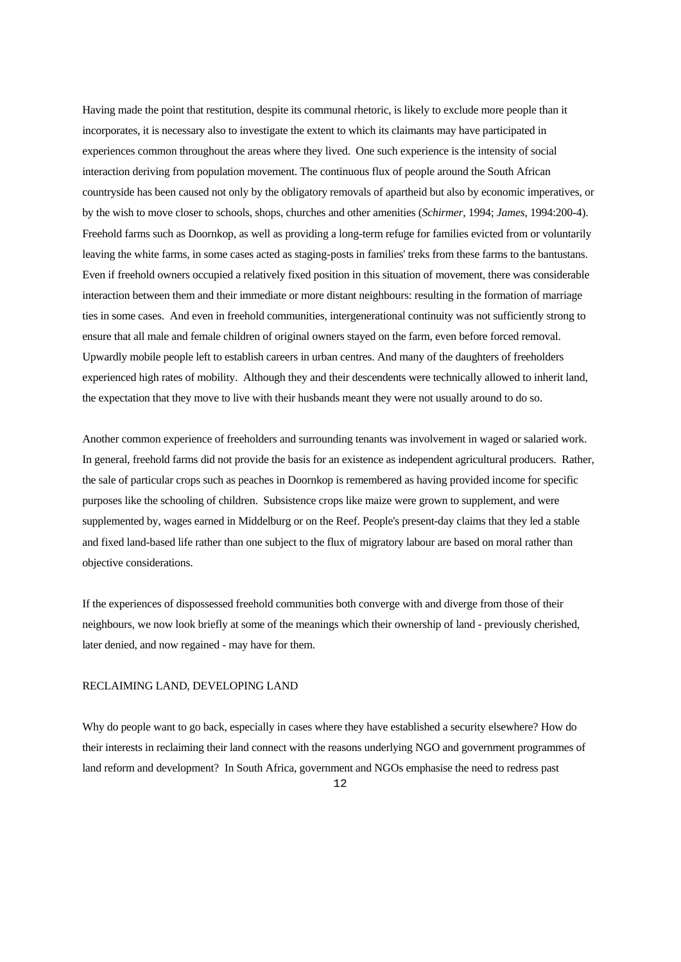Having made the point that restitution, despite its communal rhetoric, is likely to exclude more people than it incorporates, it is necessary also to investigate the extent to which its claimants may have participated in experiences common throughout the areas where they lived. One such experience is the intensity of social interaction deriving from population movement. The continuous flux of people around the South African countryside has been caused not only by the obligatory removals of apartheid but also by economic imperatives, or by the wish to move closer to schools, shops, churches and other amenities (*Schirmer*, 1994; *James*, 1994:200-4). Freehold farms such as Doornkop, as well as providing a long-term refuge for families evicted from or voluntarily leaving the white farms, in some cases acted as staging-posts in families' treks from these farms to the bantustans. Even if freehold owners occupied a relatively fixed position in this situation of movement, there was considerable interaction between them and their immediate or more distant neighbours: resulting in the formation of marriage ties in some cases. And even in freehold communities, intergenerational continuity was not sufficiently strong to ensure that all male and female children of original owners stayed on the farm, even before forced removal. Upwardly mobile people left to establish careers in urban centres. And many of the daughters of freeholders experienced high rates of mobility. Although they and their descendents were technically allowed to inherit land, the expectation that they move to live with their husbands meant they were not usually around to do so.

Another common experience of freeholders and surrounding tenants was involvement in waged or salaried work. In general, freehold farms did not provide the basis for an existence as independent agricultural producers. Rather, the sale of particular crops such as peaches in Doornkop is remembered as having provided income for specific purposes like the schooling of children. Subsistence crops like maize were grown to supplement, and were supplemented by, wages earned in Middelburg or on the Reef. People's present-day claims that they led a stable and fixed land-based life rather than one subject to the flux of migratory labour are based on moral rather than objective considerations.

If the experiences of dispossessed freehold communities both converge with and diverge from those of their neighbours, we now look briefly at some of the meanings which their ownership of land - previously cherished, later denied, and now regained - may have for them.

#### RECLAIMING LAND, DEVELOPING LAND

Why do people want to go back, especially in cases where they have established a security elsewhere? How do their interests in reclaiming their land connect with the reasons underlying NGO and government programmes of land reform and development? In South Africa, government and NGOs emphasise the need to redress past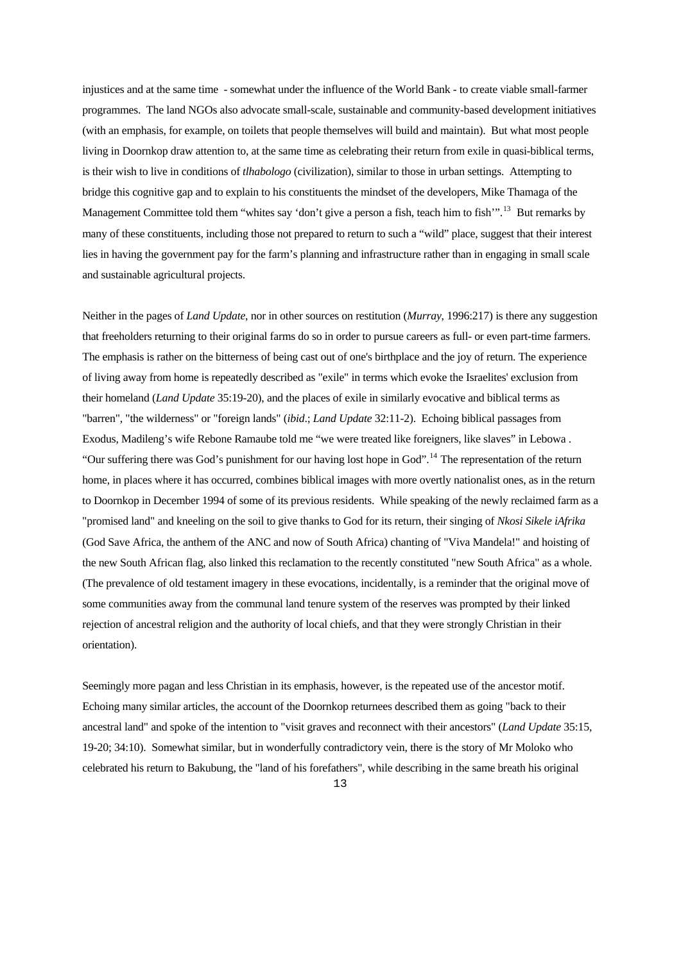injustices and at the same time - somewhat under the influence of the World Bank - to create viable small-farmer programmes. The land NGOs also advocate small-scale, sustainable and community-based development initiatives (with an emphasis, for example, on toilets that people themselves will build and maintain). But what most people living in Doornkop draw attention to, at the same time as celebrating their return from exile in quasi-biblical terms, is their wish to live in conditions of *tlhabologo* (civilization), similar to those in urban settings. Attempting to bridge this cognitive gap and to explain to his constituents the mindset of the developers, Mike Thamaga of the Management Committee told them "whites say 'don't give a person a fish, teach him to fish".<sup>[13](#page-18-1)</sup> But remarks by many of these constituents, including those not prepared to return to such a "wild" place, suggest that their interest lies in having the government pay for the farm's planning and infrastructure rather than in engaging in small scale and sustainable agricultural projects.

Neither in the pages of *Land Update*, nor in other sources on restitution (*Murray*, 1996:217) is there any suggestion that freeholders returning to their original farms do so in order to pursue careers as full- or even part-time farmers. The emphasis is rather on the bitterness of being cast out of one's birthplace and the joy of return. The experience of living away from home is repeatedly described as "exile" in terms which evoke the Israelites' exclusion from their homeland (*Land Update* 35:19-20), and the places of exile in similarly evocative and biblical terms as "barren", "the wilderness" or "foreign lands" (*ibid*.; *Land Update* 32:11-2). Echoing biblical passages from Exodus, Madileng's wife Rebone Ramaube told me "we were treated like foreigners, like slaves" in Lebowa . "Our suffering there was God's punishment for our having lost hope in God".<sup>[14](#page-18-1)</sup> The representation of the return home, in places where it has occurred, combines biblical images with more overtly nationalist ones, as in the return to Doornkop in December 1994 of some of its previous residents. While speaking of the newly reclaimed farm as a "promised land" and kneeling on the soil to give thanks to God for its return, their singing of *Nkosi Sikele iAfrika* (God Save Africa, the anthem of the ANC and now of South Africa) chanting of "Viva Mandela!" and hoisting of the new South African flag, also linked this reclamation to the recently constituted "new South Africa" as a whole. (The prevalence of old testament imagery in these evocations, incidentally, is a reminder that the original move of some communities away from the communal land tenure system of the reserves was prompted by their linked rejection of ancestral religion and the authority of local chiefs, and that they were strongly Christian in their orientation).

Seemingly more pagan and less Christian in its emphasis, however, is the repeated use of the ancestor motif. Echoing many similar articles, the account of the Doornkop returnees described them as going "back to their ancestral land" and spoke of the intention to "visit graves and reconnect with their ancestors" (*Land Update* 35:15, 19-20; 34:10). Somewhat similar, but in wonderfully contradictory vein, there is the story of Mr Moloko who celebrated his return to Bakubung, the "land of his forefathers", while describing in the same breath his original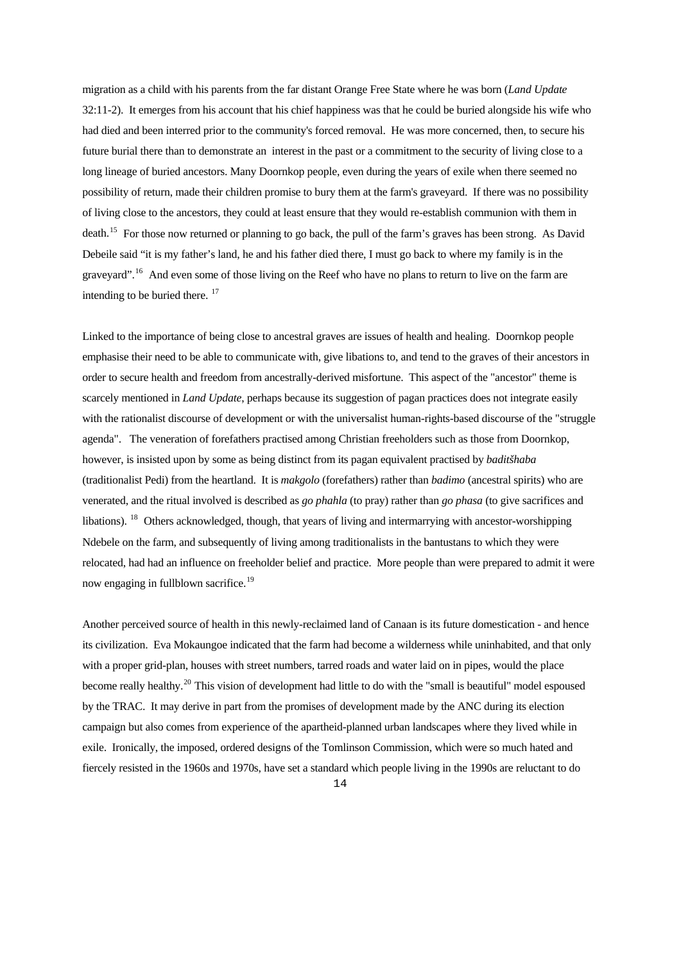migration as a child with his parents from the far distant Orange Free State where he was born (*Land Update* 32:11-2). It emerges from his account that his chief happiness was that he could be buried alongside his wife who had died and been interred prior to the community's forced removal. He was more concerned, then, to secure his future burial there than to demonstrate an interest in the past or a commitment to the security of living close to a long lineage of buried ancestors. Many Doornkop people, even during the years of exile when there seemed no possibility of return, made their children promise to bury them at the farm's graveyard. If there was no possibility of living close to the ancestors, they could at least ensure that they would re-establish communion with them in death.[15](#page-18-1) For those now returned or planning to go back, the pull of the farm's graves has been strong. As David Debeile said "it is my father's land, he and his father died there, I must go back to where my family is in the gravevard".<sup>[16](#page-18-1)</sup> And even some of those living on the Reef who have no plans to return to live on the farm are intending to be buried there. <sup>[17](#page-18-1)</sup>

Linked to the importance of being close to ancestral graves are issues of health and healing. Doornkop people emphasise their need to be able to communicate with, give libations to, and tend to the graves of their ancestors in order to secure health and freedom from ancestrally-derived misfortune. This aspect of the "ancestor" theme is scarcely mentioned in *Land Update*, perhaps because its suggestion of pagan practices does not integrate easily with the rationalist discourse of development or with the universalist human-rights-based discourse of the "struggle agenda". The veneration of forefathers practised among Christian freeholders such as those from Doornkop, however, is insisted upon by some as being distinct from its pagan equivalent practised by *baditšhaba* (traditionalist Pedi) from the heartland. It is *makgolo* (forefathers) rather than *badimo* (ancestral spirits) who are venerated, and the ritual involved is described as *go phahla* (to pray) rather than *go phasa* (to give sacrifices and libations). [18](#page-18-1) Others acknowledged, though, that years of living and intermarrying with ancestor-worshipping Ndebele on the farm, and subsequently of living among traditionalists in the bantustans to which they were relocated, had had an influence on freeholder belief and practice. More people than were prepared to admit it were now engaging in fullblown sacrifice.<sup>[19](#page-18-1)</sup>

Another perceived source of health in this newly-reclaimed land of Canaan is its future domestication - and hence its civilization. Eva Mokaungoe indicated that the farm had become a wilderness while uninhabited, and that only with a proper grid-plan, houses with street numbers, tarred roads and water laid on in pipes, would the place become really healthy.[20](#page-18-1) This vision of development had little to do with the "small is beautiful" model espoused by the TRAC. It may derive in part from the promises of development made by the ANC during its election campaign but also comes from experience of the apartheid-planned urban landscapes where they lived while in exile. Ironically, the imposed, ordered designs of the Tomlinson Commission, which were so much hated and fiercely resisted in the 1960s and 1970s, have set a standard which people living in the 1990s are reluctant to do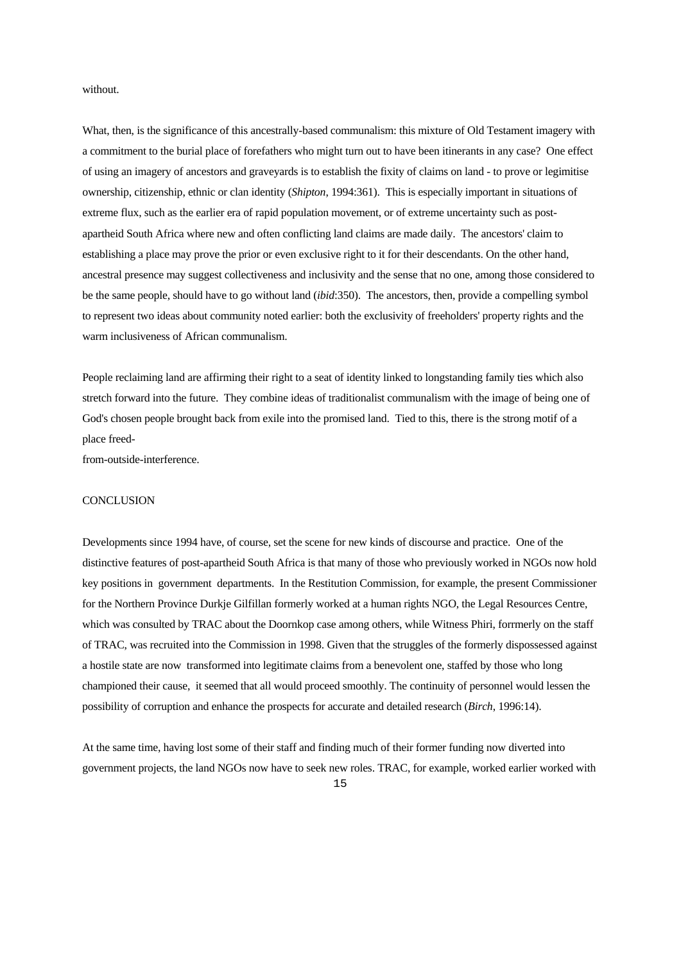without.

What, then, is the significance of this ancestrally-based communalism: this mixture of Old Testament imagery with a commitment to the burial place of forefathers who might turn out to have been itinerants in any case? One effect of using an imagery of ancestors and graveyards is to establish the fixity of claims on land - to prove or legimitise ownership, citizenship, ethnic or clan identity (*Shipton*, 1994:361). This is especially important in situations of extreme flux, such as the earlier era of rapid population movement, or of extreme uncertainty such as postapartheid South Africa where new and often conflicting land claims are made daily. The ancestors' claim to establishing a place may prove the prior or even exclusive right to it for their descendants. On the other hand, ancestral presence may suggest collectiveness and inclusivity and the sense that no one, among those considered to be the same people, should have to go without land (*ibid*:350). The ancestors, then, provide a compelling symbol to represent two ideas about community noted earlier: both the exclusivity of freeholders' property rights and the warm inclusiveness of African communalism.

People reclaiming land are affirming their right to a seat of identity linked to longstanding family ties which also stretch forward into the future. They combine ideas of traditionalist communalism with the image of being one of God's chosen people brought back from exile into the promised land. Tied to this, there is the strong motif of a place freed-

from-outside-interference.

# **CONCLUSION**

Developments since 1994 have, of course, set the scene for new kinds of discourse and practice. One of the distinctive features of post-apartheid South Africa is that many of those who previously worked in NGOs now hold key positions in government departments. In the Restitution Commission, for example, the present Commissioner for the Northern Province Durkje Gilfillan formerly worked at a human rights NGO, the Legal Resources Centre, which was consulted by TRAC about the Doornkop case among others, while Witness Phiri, forrmerly on the staff of TRAC, was recruited into the Commission in 1998. Given that the struggles of the formerly dispossessed against a hostile state are now transformed into legitimate claims from a benevolent one, staffed by those who long championed their cause, it seemed that all would proceed smoothly. The continuity of personnel would lessen the possibility of corruption and enhance the prospects for accurate and detailed research (*Birch*, 1996:14).

At the same time, having lost some of their staff and finding much of their former funding now diverted into government projects, the land NGOs now have to seek new roles. TRAC, for example, worked earlier worked with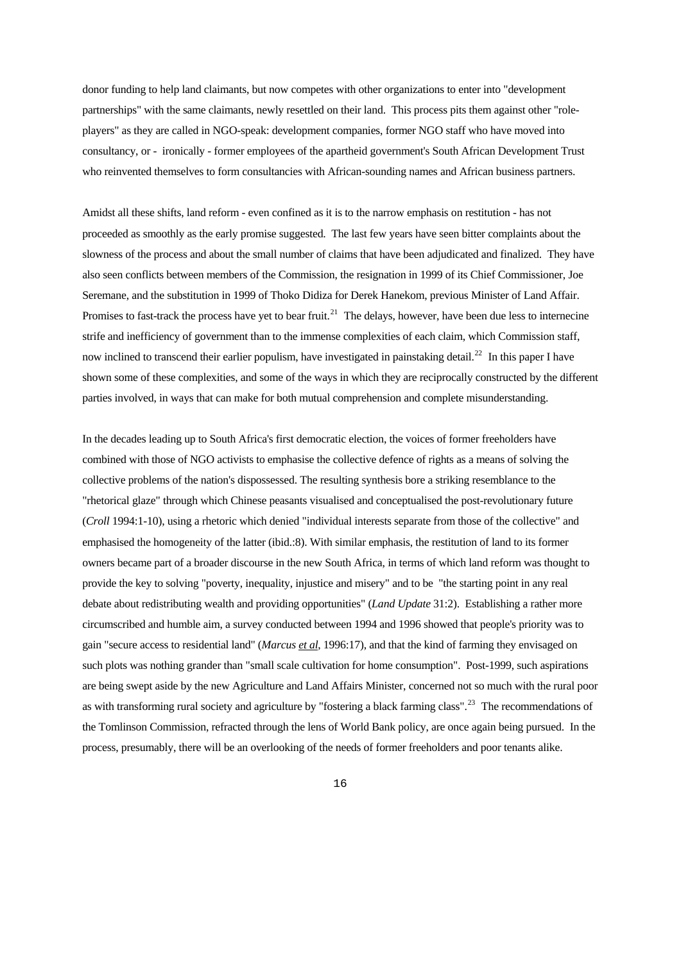donor funding to help land claimants, but now competes with other organizations to enter into "development partnerships" with the same claimants, newly resettled on their land. This process pits them against other "roleplayers" as they are called in NGO-speak: development companies, former NGO staff who have moved into consultancy, or - ironically - former employees of the apartheid government's South African Development Trust who reinvented themselves to form consultancies with African-sounding names and African business partners.

Amidst all these shifts, land reform - even confined as it is to the narrow emphasis on restitution - has not proceeded as smoothly as the early promise suggested. The last few years have seen bitter complaints about the slowness of the process and about the small number of claims that have been adjudicated and finalized. They have also seen conflicts between members of the Commission, the resignation in 1999 of its Chief Commissioner, Joe Seremane, and the substitution in 1999 of Thoko Didiza for Derek Hanekom, previous Minister of Land Affair. Promises to fast-track the process have yet to bear fruit.<sup>[21](#page-18-1)</sup> The delays, however, have been due less to internecine strife and inefficiency of government than to the immense complexities of each claim, which Commission staff, now inclined to transcend their earlier populism, have investigated in painstaking detail.<sup>[22](#page-18-1)</sup> In this paper I have shown some of these complexities, and some of the ways in which they are reciprocally constructed by the different parties involved, in ways that can make for both mutual comprehension and complete misunderstanding.

In the decades leading up to South Africa's first democratic election, the voices of former freeholders have combined with those of NGO activists to emphasise the collective defence of rights as a means of solving the collective problems of the nation's dispossessed. The resulting synthesis bore a striking resemblance to the "rhetorical glaze" through which Chinese peasants visualised and conceptualised the post-revolutionary future (*Croll* 1994:1-10), using a rhetoric which denied "individual interests separate from those of the collective" and emphasised the homogeneity of the latter (ibid.:8). With similar emphasis, the restitution of land to its former owners became part of a broader discourse in the new South Africa, in terms of which land reform was thought to provide the key to solving "poverty, inequality, injustice and misery" and to be "the starting point in any real debate about redistributing wealth and providing opportunities" (*Land Update* 31:2). Establishing a rather more circumscribed and humble aim, a survey conducted between 1994 and 1996 showed that people's priority was to gain "secure access to residential land" (*Marcus et al*, 1996:17), and that the kind of farming they envisaged on such plots was nothing grander than "small scale cultivation for home consumption". Post-1999, such aspirations are being swept aside by the new Agriculture and Land Affairs Minister, concerned not so much with the rural poor as with transforming rural society and agriculture by "fostering a black farming class".<sup>[23](#page-18-1)</sup> The recommendations of the Tomlinson Commission, refracted through the lens of World Bank policy, are once again being pursued. In the process, presumably, there will be an overlooking of the needs of former freeholders and poor tenants alike.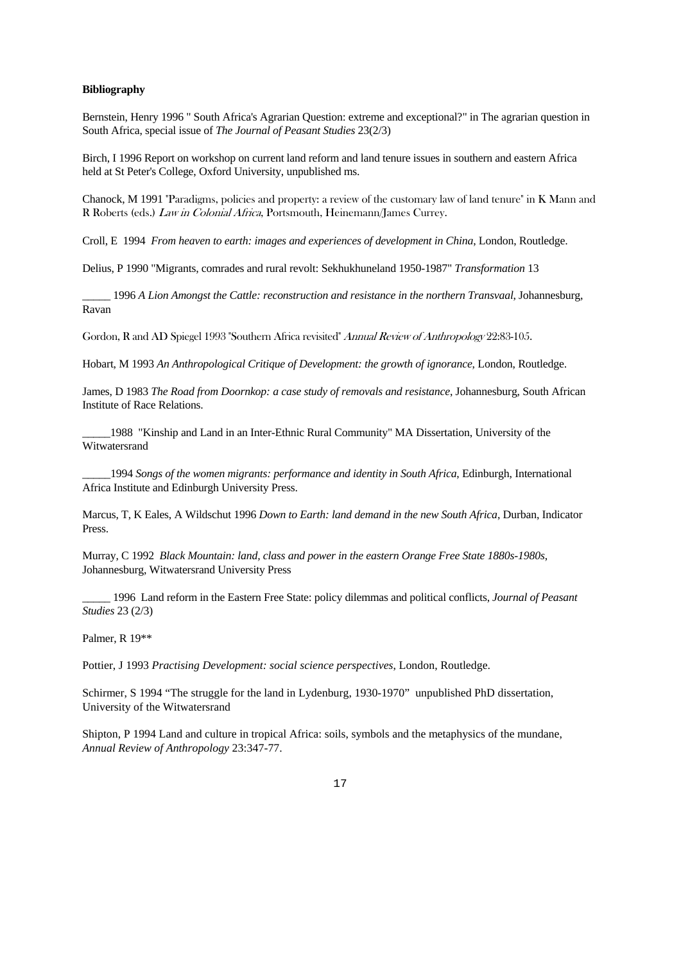#### **Bibliography**

Bernstein, Henry 1996 " South Africa's Agrarian Question: extreme and exceptional?" in The agrarian question in South Africa, special issue of *The Journal of Peasant Studies* 23(2/3)

Birch, I 1996 Report on workshop on current land reform and land tenure issues in southern and eastern Africa held at St Peter's College, Oxford University, unpublished ms.

Chanock, M 1991 "Paradigms, policies and property: a review of the customary law of land tenure" in K Mann and R Roberts (eds.) Law in Colonial Africa, Portsmouth, Heinemann/James Currey.

Croll, E 1994 *From heaven to earth: images and experiences of development in China*, London, Routledge.

Delius, P 1990 "Migrants, comrades and rural revolt: Sekhukhuneland 1950-1987" *Transformation* 13

\_\_\_\_\_ 1996 *A Lion Amongst the Cattle: reconstruction and resistance in the northern Transvaal*, Johannesburg, Ravan

Gordon, R and AD Spiegel 1993 "Southern Africa revisited" Annual Review of Anthropology 22:83-105.

Hobart, M 1993 *An Anthropological Critique of Development: the growth of ignorance*, London, Routledge.

James, D 1983 *The Road from Doornkop: a case study of removals and resistance*, Johannesburg, South African Institute of Race Relations.

\_\_\_\_\_1988 "Kinship and Land in an Inter-Ethnic Rural Community" MA Dissertation, University of the Witwatersrand

\_\_\_\_\_1994 *Songs of the women migrants: performance and identity in South Africa*, Edinburgh, International Africa Institute and Edinburgh University Press.

Marcus, T, K Eales, A Wildschut 1996 *Down to Earth: land demand in the new South Africa*, Durban, Indicator Press.

Murray, C 1992 *Black Mountain: land, class and power in the eastern Orange Free State 1880s-1980s*, Johannesburg, Witwatersrand University Press

\_\_\_\_\_ 1996 Land reform in the Eastern Free State: policy dilemmas and political conflicts, *Journal of Peasant Studies* 23 (2/3)

Palmer, R 19\*\*

Pottier, J 1993 *Practising Development: social science perspectives*, London, Routledge.

Schirmer, S 1994 "The struggle for the land in Lydenburg, 1930-1970" unpublished PhD dissertation, University of the Witwatersrand

Shipton, P 1994 Land and culture in tropical Africa: soils, symbols and the metaphysics of the mundane, *Annual Review of Anthropology* 23:347-77.